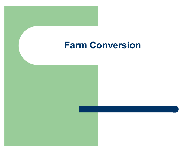### **Farm Conversion**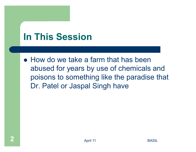## **In This Session**

• How do we take a farm that has been abused for years by use of chemicals and poisons to something like the paradise that Dr. Patel or Jaspal Singh have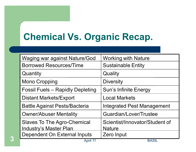# **Chemical Vs. Organic Recap.**

| <b>Waging war against Nature/God</b>                                | <b>Working with Nature</b>                      |
|---------------------------------------------------------------------|-------------------------------------------------|
| <b>Borrowed Resources/Time</b>                                      | <b>Sustainable Entity</b>                       |
| Quantity                                                            | Quality                                         |
| <b>Mono Cropping</b>                                                | <b>Diversity</b>                                |
| <b>Fossil Fuels - Rapidly Depleting</b>                             | <b>Sun's Infinite Energy</b>                    |
| <b>Distant Markets/Export</b>                                       | <b>Local Markets</b>                            |
| <b>Battle Against Pests/Bacteria</b>                                | <b>Integrated Pest Management</b>               |
| <b>Owner/Abuser Mentality</b>                                       | Guardian/Lover/Trustee                          |
| <b>Slaves To The Agro-Chemical</b><br><b>Industry's Master Plan</b> | Scientist/Innovator/Student of<br><u>Nature</u> |
| Dependent On External Inputs                                        | Zero Input<br><b>DAQU</b>                       |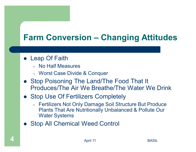### **Farm Conversion – Changing Attitudes**

- Leap Of Faith
	- No Half Measures
	- Worst Case Divide & Conquer
- Stop Poisoning The Land/The Food That It Produces/The Air We Breathe/The Water We Drink
- Stop Use Of Fertilizers Completely
	- Fertilizers Not Only Damage Soil Structure But Produce **Plants That Are Nutritionally Unbalanced & Pollute Our Water Systems**
- Stop All Chemical Weed Control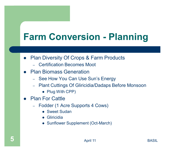# **Farm Conversion - Planning**

- Plan Diversity Of Crops & Farm Products
	- Certification Becomes Moot
- **Plan Biomass Generation**  $\bullet$ 
	- See How You Can Use Sun's Energy
	- Plant Cuttings Of Gliricidia/Dadaps Before Monsoon
		- Plug With CPP)
- **Plan For Cattle** 
	- Fodder (1 Acre Supports 4 Cows)
		- Sweet Sudan
		- Gliricidia
		- Sunflower Supplement (Oct-March)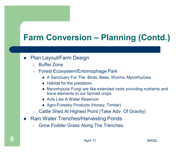## **Farm Conversion – Planning (Contd.)**

#### **Plan Layout/Farm Design**  $\bullet$

- $-$  Buffer Zone
- Forest Ecosystem/Entomophage Park
	- A Sanctuary For The Birds, Bees, Worms, Mycorhyzzea
	- Habitat for the predators
	- Mycorhyzzia Fungi are like extended roots providing nutrients and trace elements to our farmed crops
	- Acts Like A Water Reservoir
	- Agro-Forestry Products (Honey, Timber)
- Cattle Shed At Highest Point (Take Adv. Of Gravity)
- **Rain Water Trenches/Harvesting Ponds**  $\bullet$ 
	- **Grow Fodder Grass Along The Trenches**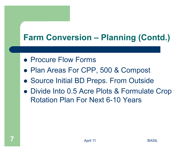### **Farm Conversion – Planning (Contd.)**

- Procure Flow Forms
- Plan Areas For CPP, 500 & Compost
- Source Initial BD Preps. From Outside
- Divide Into 0.5 Acre Plots & Formulate Crop **Rotation Plan For Next 6-10 Years**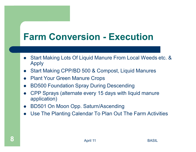## **Farm Conversion - Execution**

- Start Making Lots Of Liquid Manure From Local Weeds etc. & **Apply**
- Start Making CPP/BD 500 & Compost, Liquid Manures  $\bullet$
- **Plant Your Green Manure Crops**  $\bullet$
- **BD500 Foundation Spray During Descending**  $\bullet$
- CPP Sprays (alternate every 15 days with liquid manure application)
- BD501 On Moon Opp. Saturn/Ascending  $\bullet$
- Use The Planting Calendar To Plan Out The Farm Activities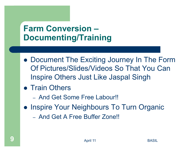### **Farm Conversion -Documenting/Training**

- Document The Exciting Journey In The Form Of Pictures/Slides/Videos So That You Can **Inspire Others Just Like Jaspal Singh**
- Train Others
	- And Get Some Free Labour!!
- Inspire Your Neighbours To Turn Organic
	- And Get A Free Buffer Zone!!